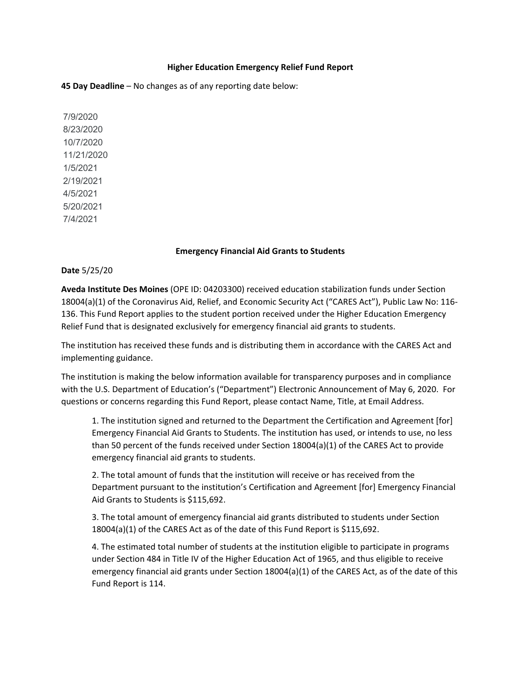## **Higher Education Emergency Relief Fund Report**

**45 Day Deadline** – No changes as of any reporting date below:

7/9/2020 8/23/2020 10/7/2020 11/21/2020 1/5/2021 2/19/2021 4/5/2021 5/20/2021 7/4/2021

## **Emergency Financial Aid Grants to Students**

**Date** 5/25/20

**Aveda Institute Des Moines** (OPE ID: 04203300) received education stabilization funds under Section 18004(a)(1) of the Coronavirus Aid, Relief, and Economic Security Act ("CARES Act"), Public Law No: 116- 136. This Fund Report applies to the student portion received under the Higher Education Emergency Relief Fund that is designated exclusively for emergency financial aid grants to students.

The institution has received these funds and is distributing them in accordance with the CARES Act and implementing guidance.

The institution is making the below information available for transparency purposes and in compliance with the U.S. Department of Education's ("Department") Electronic Announcement of May 6, 2020. For questions or concerns regarding this Fund Report, please contact Name, Title, at Email Address.

1. The institution signed and returned to the Department the Certification and Agreement [for] Emergency Financial Aid Grants to Students. The institution has used, or intends to use, no less than 50 percent of the funds received under Section 18004(a)(1) of the CARES Act to provide emergency financial aid grants to students.

2. The total amount of funds that the institution will receive or has received from the Department pursuant to the institution's Certification and Agreement [for] Emergency Financial Aid Grants to Students is \$115,692.

3. The total amount of emergency financial aid grants distributed to students under Section 18004(a)(1) of the CARES Act as of the date of this Fund Report is \$115,692.

4. The estimated total number of students at the institution eligible to participate in programs under Section 484 in Title IV of the Higher Education Act of 1965, and thus eligible to receive emergency financial aid grants under Section 18004(a)(1) of the CARES Act, as of the date of this Fund Report is 114.